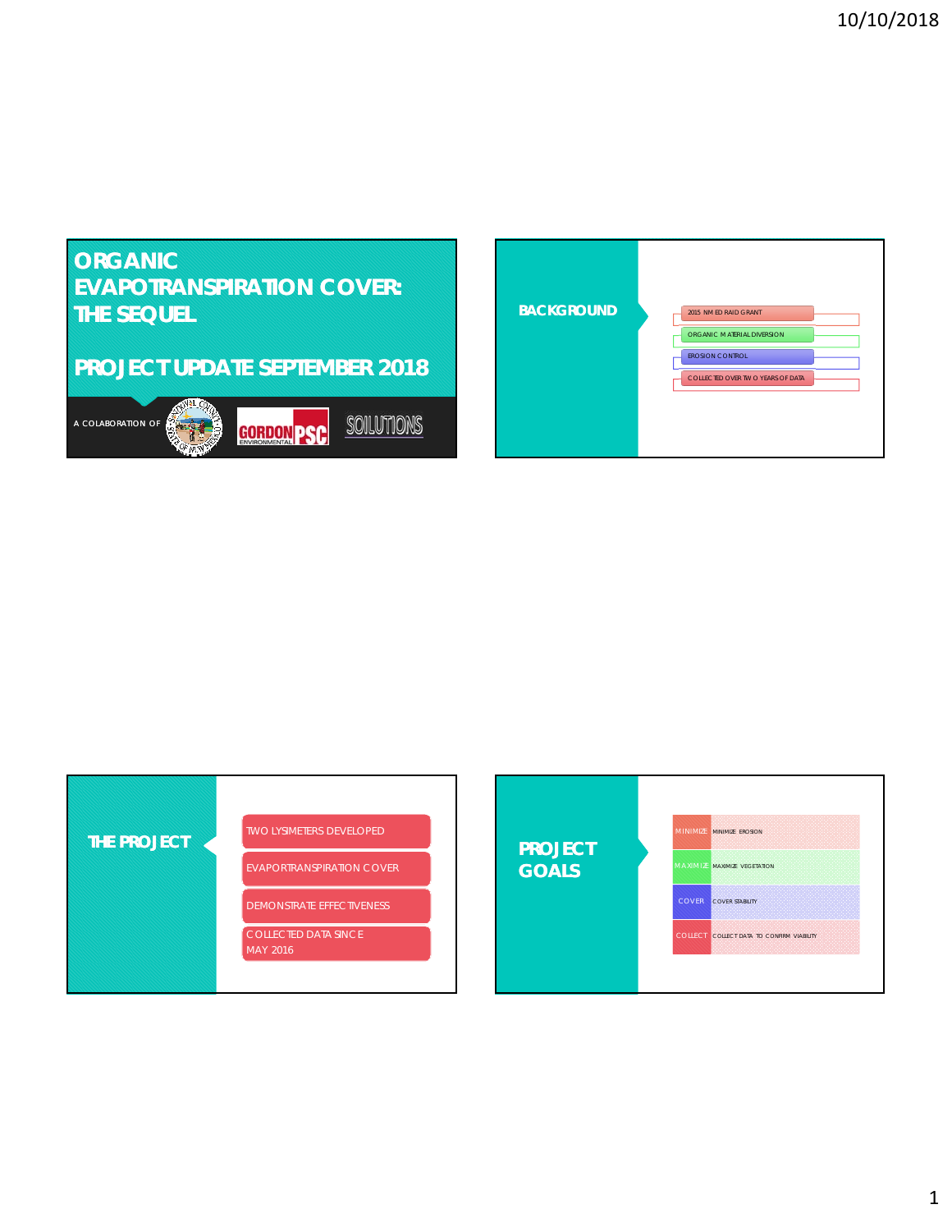# **ORGANIC EVAPOTRANSPIRATION COVER: THE SEQUEL PROJECT UPDATE SEPTEMBER 2018**



| <b>BACKGROUND</b> | 2015 NM ED RAID GRANT            |
|-------------------|----------------------------------|
|                   | ORGANIC M ATERIAL DIVERSION      |
|                   | EROSI ON CONTROL                 |
|                   | COLLECTED OVER TWO YEARS OF DATA |
|                   |                                  |
|                   |                                  |
|                   |                                  |



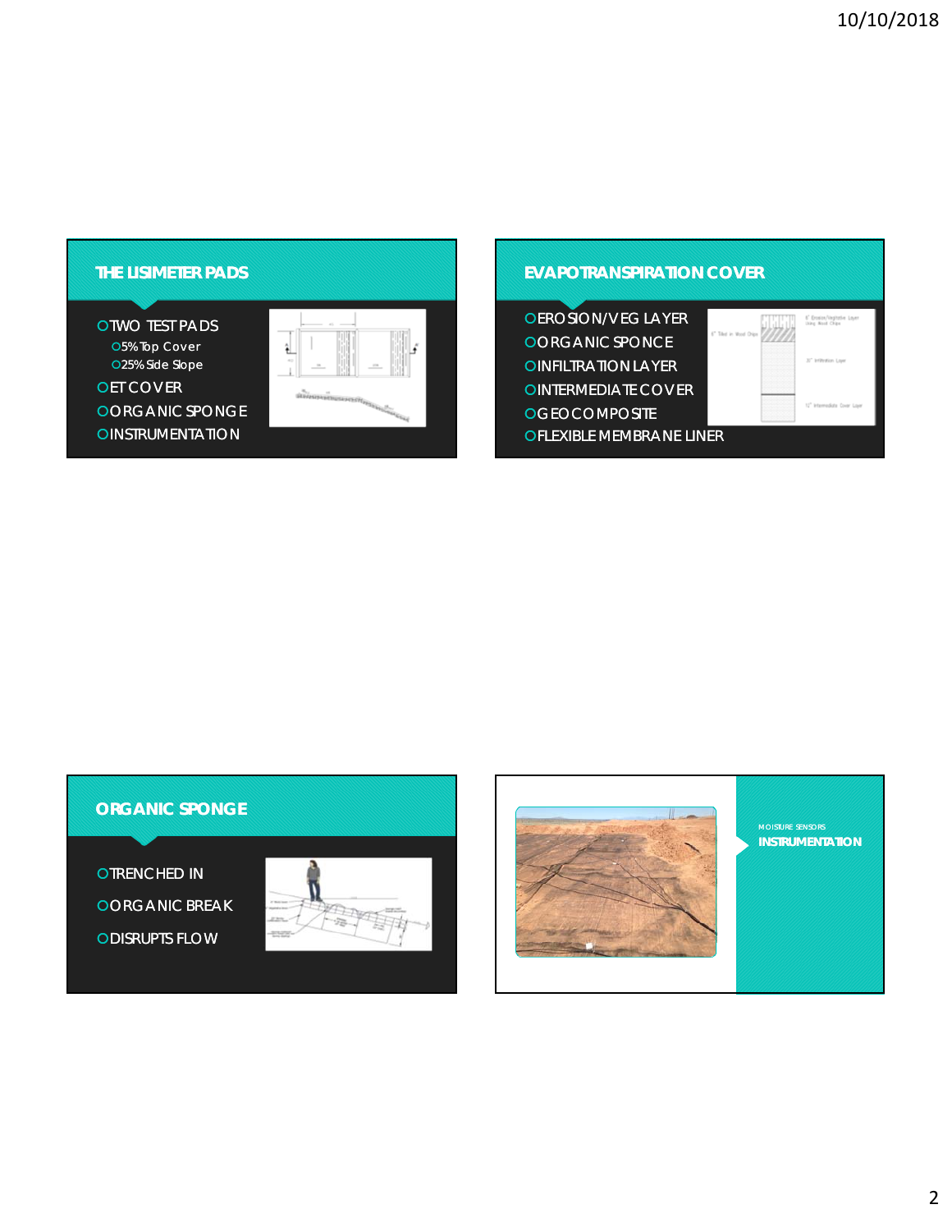#### **THE LISIMETER PADS**

**OTWO TEST PADS** O5% Top Cover 25% Side Slope **OET COVER** OORGANIC SPONGE **OINSTRUMENTATION** 



#### **EVAPOTRANSPIRATION COVER**

| <b>OEROSION/VEG LAYER</b>       |                        |
|---------------------------------|------------------------|
| OORGANIC SPONCE                 |                        |
| <b>OINFILTRATION LAYER</b>      | 32" Infiltration Lower |
| <b>OINTERMEDIATE COVER</b>      |                        |
| <b>OGEOCOMPOSITE</b>            |                        |
| <b>OFLEXIBLE MEMBRANE LINER</b> |                        |

## **ORGANIC SPONGE**

**OTRENCHED IN OORGANIC BREAK ODISRUPTS FLOW** 





**INSTRUMENTATION**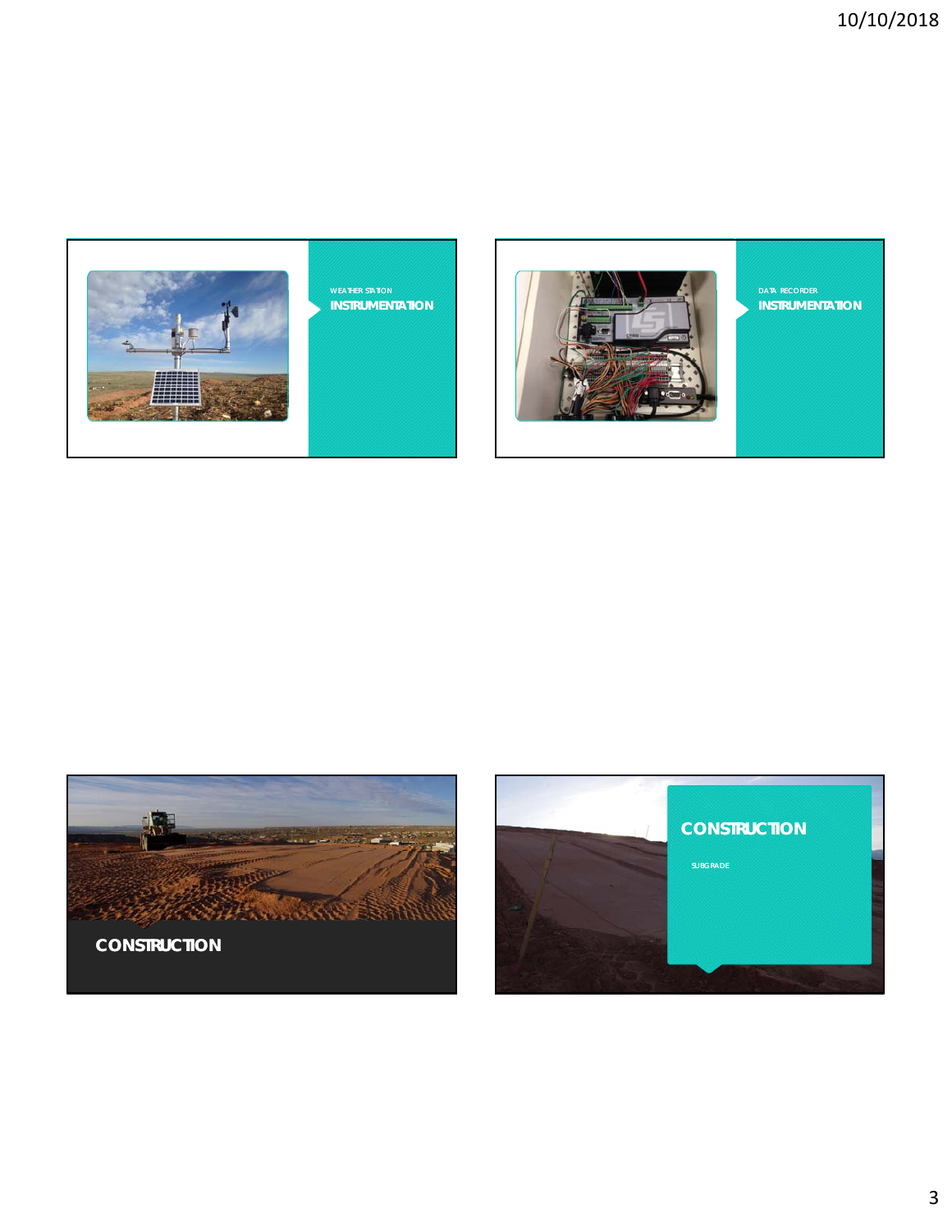





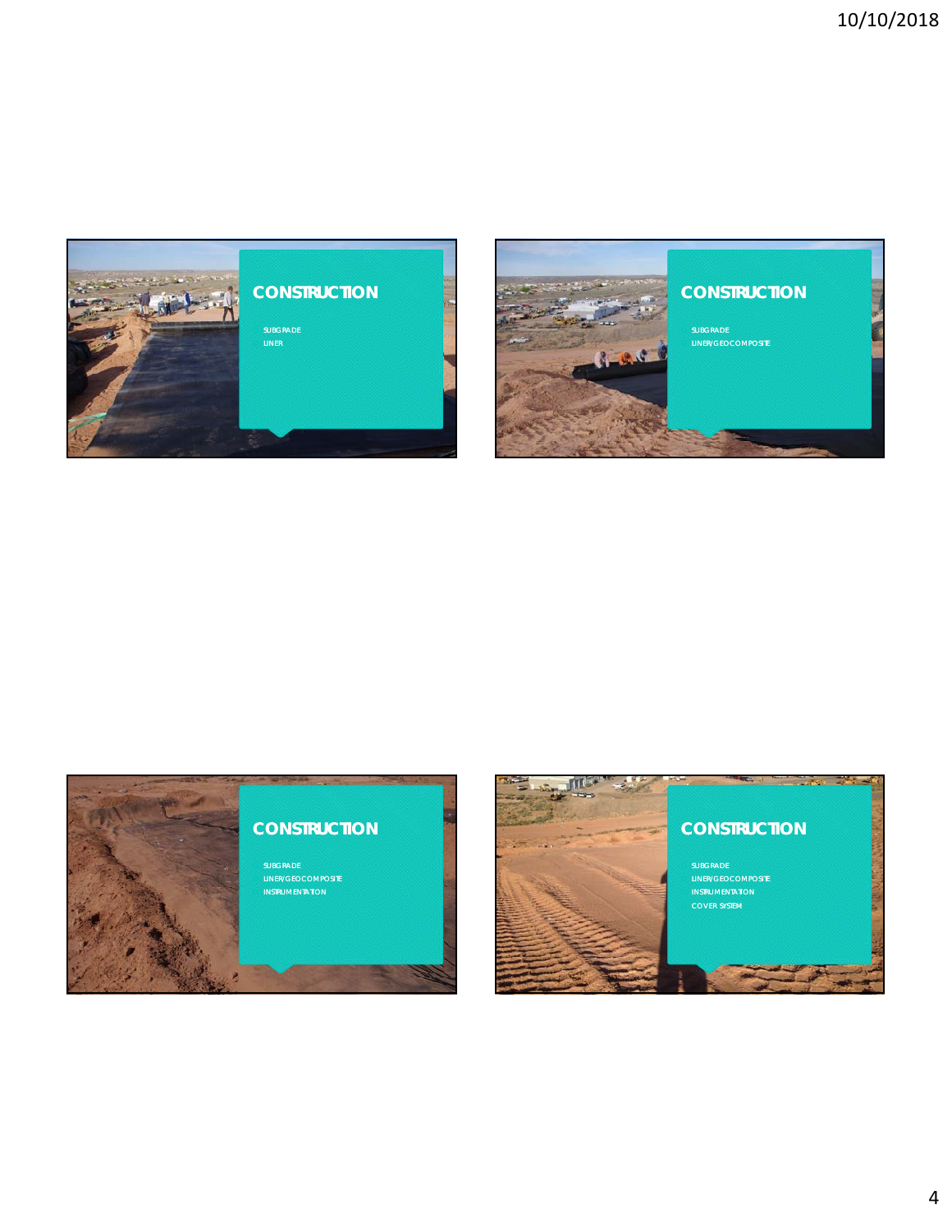





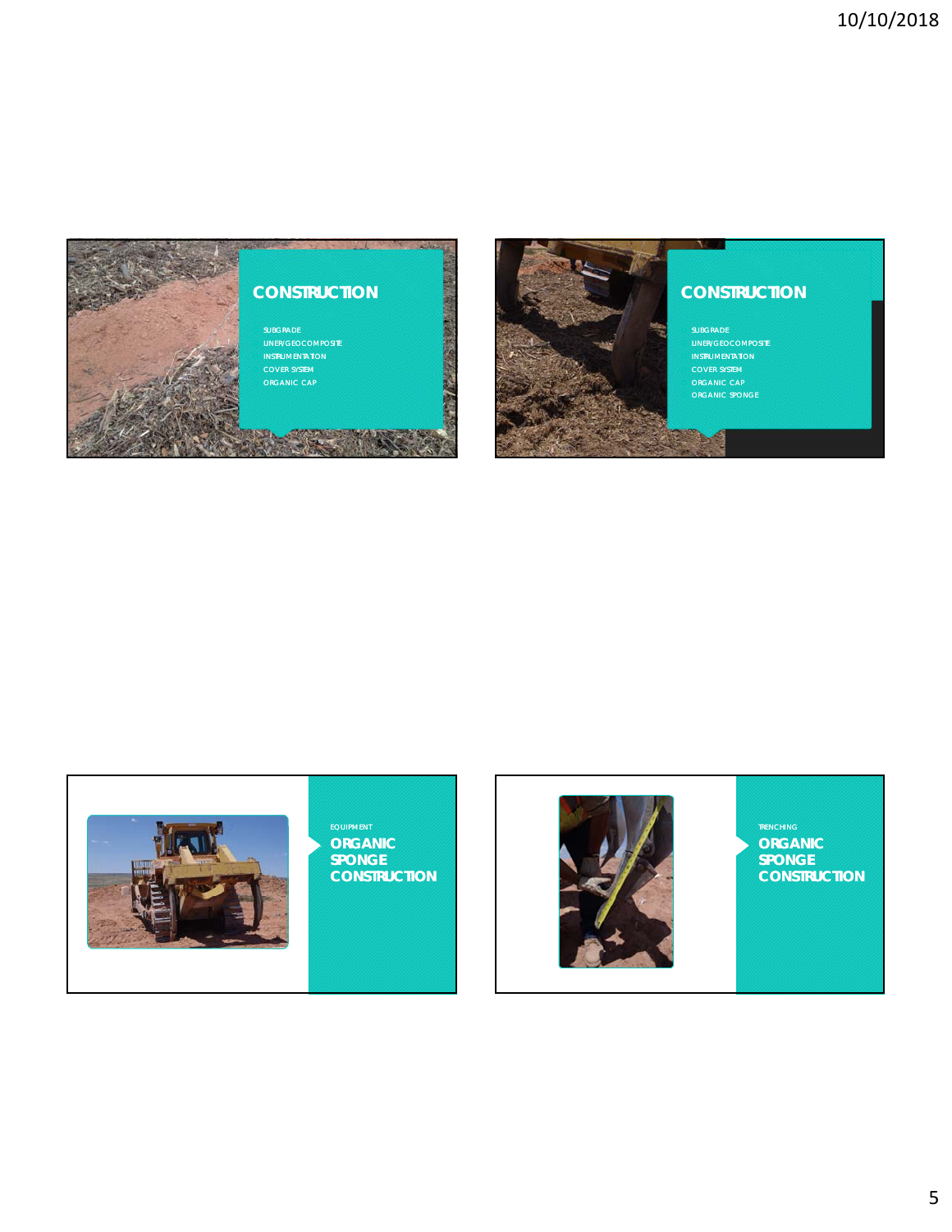

# **CONSTRUCTION**



## **CONSTRUCTION**

**SUBGRADE** LINER/GEOCOMPOSITE INSTRUMENTATION **COVER SYSTEM ORGANIC CAP** 

N.



#### **ORGANIC SPONGE CONSTRUCTION**



**ORGANIC SPONGE CONSTRUCTION**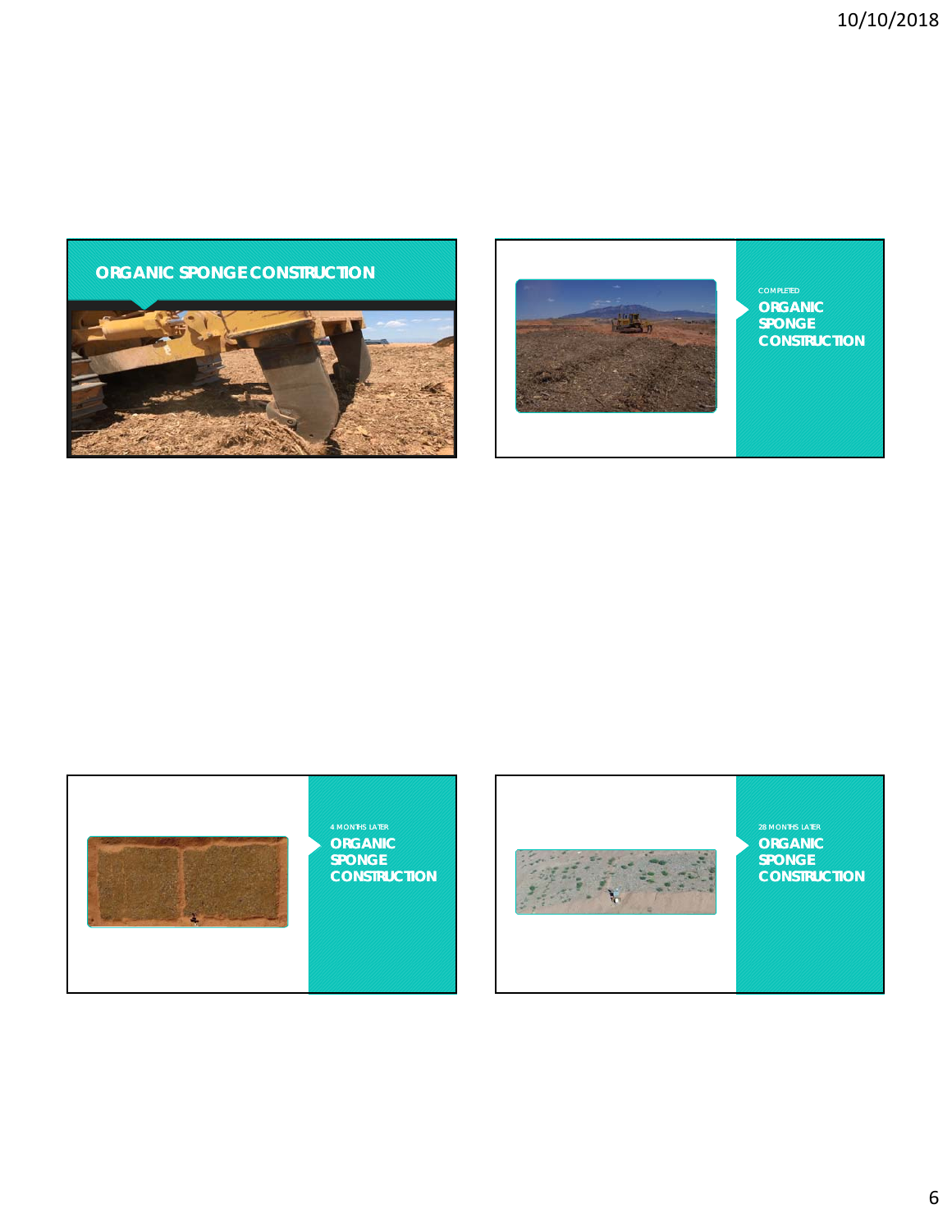





# **CONSTRUCTION**



**ORGANIC SPONGE CONSTRUCTION**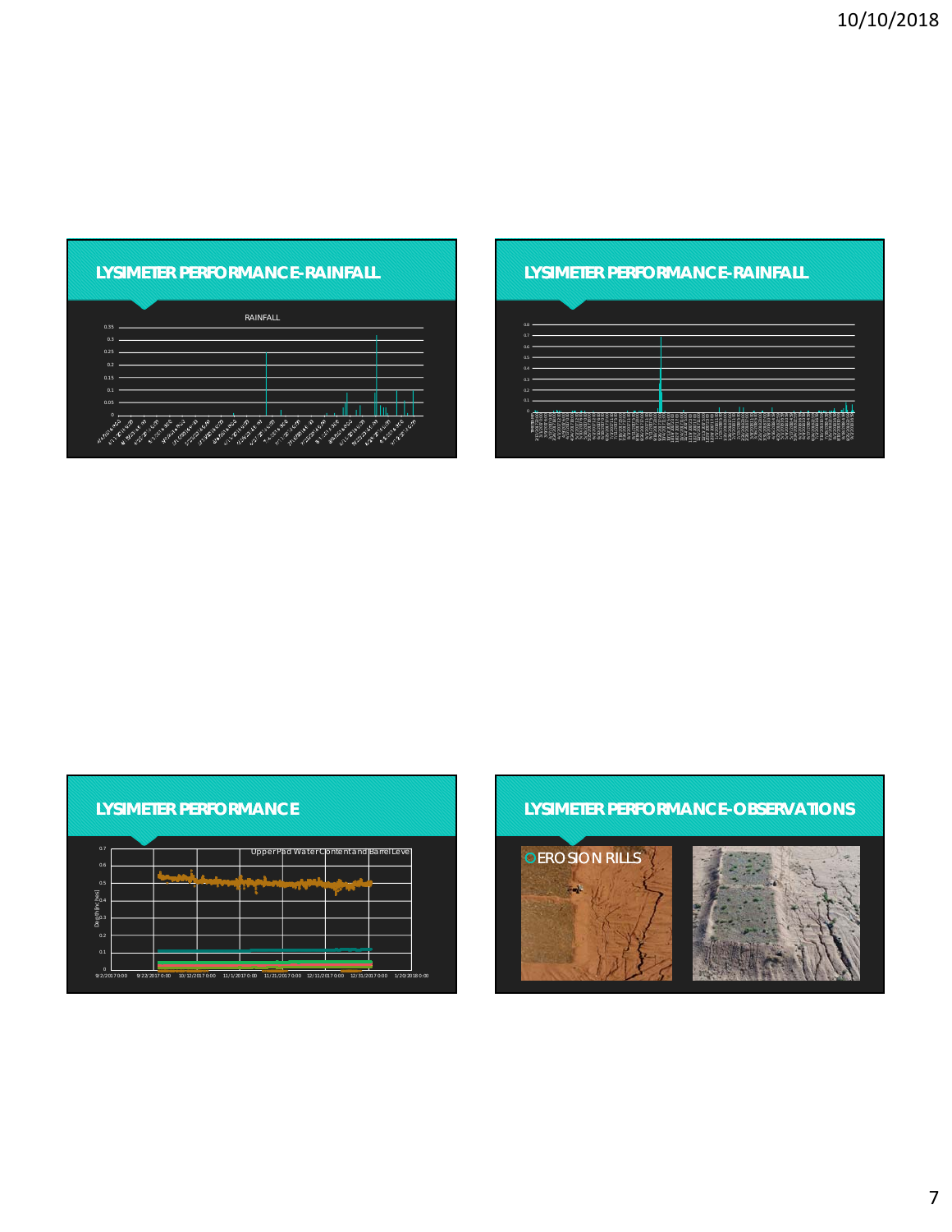| <b>LYSIMETER PERFORMANCE-RAINFALL</b> |  |
|---------------------------------------|--|
|                                       |  |
|                                       |  |

|              | <b>RAINFALL</b>                                                                                                                                                                                  |                                                                                                                                                 |                                                       |
|--------------|--------------------------------------------------------------------------------------------------------------------------------------------------------------------------------------------------|-------------------------------------------------------------------------------------------------------------------------------------------------|-------------------------------------------------------|
| 0.35         |                                                                                                                                                                                                  |                                                                                                                                                 |                                                       |
| 0.3          |                                                                                                                                                                                                  |                                                                                                                                                 |                                                       |
| 0.25         |                                                                                                                                                                                                  |                                                                                                                                                 |                                                       |
| 0.2          |                                                                                                                                                                                                  |                                                                                                                                                 |                                                       |
|              |                                                                                                                                                                                                  |                                                                                                                                                 |                                                       |
| 0.15         |                                                                                                                                                                                                  |                                                                                                                                                 |                                                       |
| 0.1          |                                                                                                                                                                                                  |                                                                                                                                                 |                                                       |
| 0.05         |                                                                                                                                                                                                  |                                                                                                                                                 |                                                       |
| $\mathbf{0}$ |                                                                                                                                                                                                  |                                                                                                                                                 |                                                       |
| ALLES CORP   | Melzi de di<br>Metal Swamp<br>ILSI SI WEST<br>C. P. Queen<br><b>CONSTRUCTION</b><br>Joye build<br><b>CONGRESSION</b><br>J. R. Power<br>JADRASSED<br>ANGEL SANTA<br>Sixtee Maple<br>March Limited | Irst District<br>el 21 Direction<br><b>COLLEGE PITTS</b><br><b>MORE OF BRIDE</b><br>SIL CLASSICS<br>Merch Street<br><b>Calgary</b><br>JIVE BARN | <b>CALL AND THE</b><br>Jeimer Wall<br><b>MARITAGE</b> |

#### **LYSIMETER PERFORMANCE-RAINFALL**



| 0.7           |  | Upper Pad Water Content and Barrel Level |  |
|---------------|--|------------------------------------------|--|
| 0.6           |  |                                          |  |
| 0.5           |  |                                          |  |
| Depth Inches] |  |                                          |  |
| 0.2           |  |                                          |  |
| 0.1           |  |                                          |  |

# **LYSIMETER PERFORMANCE-OBSERVATIONS**